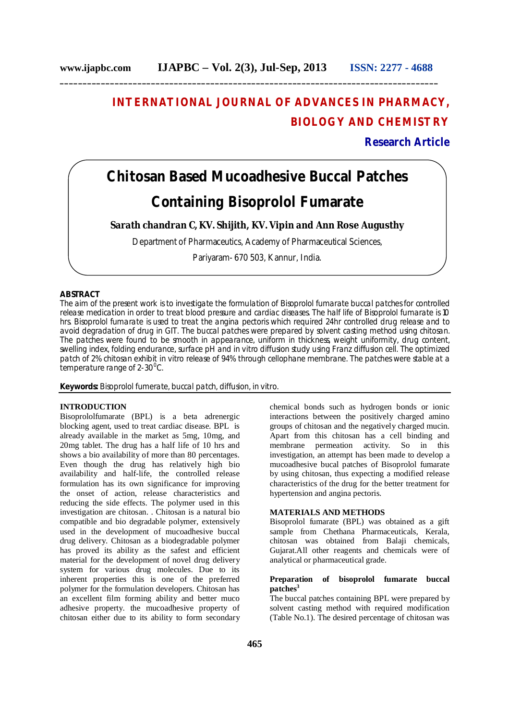# **INTERNATIONAL JOURNAL OF ADVANCES IN PHARMACY, BIOLOGY AND CHEMISTRY**

### **Research Article**

# **Chitosan Based Mucoadhesive Buccal Patches Containing Bisoprolol Fumarate**

**Sarath chandran C, KV. Shijith, KV. Vipin and Ann Rose Augusthy**

Department of Pharmaceutics, Academy of Pharmaceutical Sciences,

Pariyaram- 670 503, Kannur, India.

#### **ABSTRACT**

The aim of the present work is to investigate the formulation of Bisoprolol fumarate buccal patches for controlled release medication in order to treat blood pressure and cardiac diseases. The half life of Bisoprolol fumarate is 10 hrs. Bisoprolol fumarate is used to treat the angina pectoris which required 24hr controlled drug release and to avoid degradation of drug in GIT. The buccal patches were prepared by solvent casting method using chitosan. The patches were found to be smooth in appearance, uniform in thickness, weight uniformity, drug content, swelling index, folding endurance, surface pH and in vitro diffusion study using Franz diffusion cell. The optimized patch of 2% chitosan exhibit in vitro release of 94% through cellophane membrane. The patches were stable at a temperature range of 2-30<sup>o</sup>C.

**Keywords:** Bisoprolol fumerate, buccal patch, diffusion, in vitro.

#### **INTRODUCTION**

Bisoprololfumarate (BPL) is a beta adrenergic blocking agent, used to treat cardiac disease. BPL is already available in the market as 5mg, 10mg, and 20mg tablet. The drug has a half life of 10 hrs and shows a bio availability of more than 80 percentages. Even though the drug has relatively high bio availability and half-life, the controlled release formulation has its own significance for improving the onset of action, release characteristics and reducing the side effects. The polymer used in this investigation are chitosan. . Chitosan is a natural bio compatible and bio degradable polymer, extensively used in the development of mucoadhesive buccal drug delivery. Chitosan as a biodegradable polymer has proved its ability as the safest and efficient material for the development of novel drug delivery system for various drug molecules. Due to its inherent properties this is one of the preferred polymer for the formulation developers. Chitosan has an excellent film forming ability and better muco adhesive property. the mucoadhesive property of chitosan either due to its ability to form secondary

chemical bonds such as hydrogen bonds or ionic interactions between the positively charged amino groups of chitosan and the negatively charged mucin. Apart from this chitosan has a cell binding and membrane permeation activity. So in this investigation, an attempt has been made to develop a mucoadhesive bucal patches of Bisoprolol fumarate by using chitosan, thus expecting a modified release characteristics of the drug for the better treatment for hypertension and angina pectoris.

#### **MATERIALS AND METHODS**

Bisoprolol fumarate (BPL) was obtained as a gift sample from Chethana Pharmaceuticals, Kerala, chitosan was obtained from Balaji chemicals, Gujarat.All other reagents and chemicals were of analytical or pharmaceutical grade.

#### **Preparation of bisoprolol fumarate buccal patches<sup>3</sup>**

The buccal patches containing BPL were prepared by solvent casting method with required modification (Table No.1). The desired percentage of chitosan was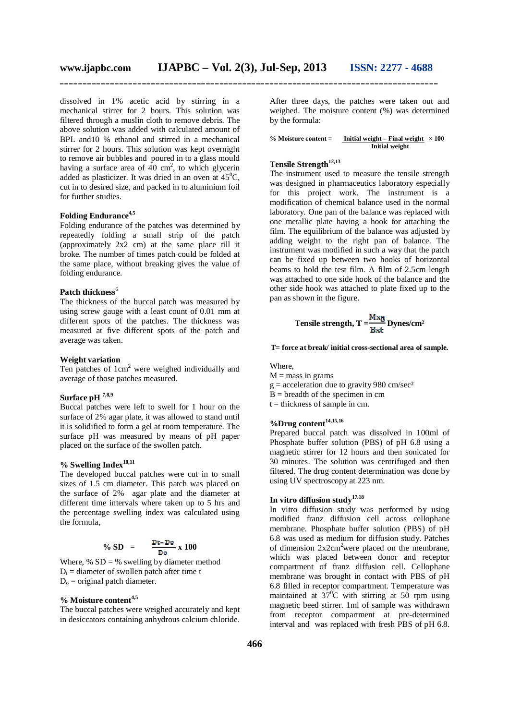dissolved in 1% acetic acid by stirring in a mechanical stirrer for 2 hours. This solution was filtered through a muslin cloth to remove debris. The above solution was added with calculated amount of BPL and10 % ethanol and stirred in a mechanical stirrer for 2 hours. This solution was kept overnight to remove air bubbles and poured in to a glass mould having a surface area of  $40 \text{ cm}^2$ , to which glycerin added as plasticizer. It was dried in an oven at  $45^{\circ}$ C, cut in to desired size, and packed in to aluminium foil for further studies.

#### **Folding Endurance4,5**

Folding endurance of the patches was determined by repeatedly folding a small strip of the patch (approximately 2x2 cm) at the same place till it broke. The number of times patch could be folded at the same place, without breaking gives the value of folding endurance.

#### Patch thickness<sup>6</sup>

The thickness of the buccal patch was measured by using screw gauge with a least count of 0.01 mm at different spots of the patches. The thickness was measured at five different spots of the patch and average was taken.

#### **Weight variation**

Ten patches of  $1 \text{cm}^2$  were weighed individually and average of those patches measured.

## **Surface pH 7,8,9**

Buccal patches were left to swell for 1 hour on the surface of 2% agar plate, it was allowed to stand until it is solidified to form a gel at room temperature. The surface pH was measured by means of pH paper placed on the surface of the swollen patch.

#### **% Swelling Index 10,11**

The developed buccal patches were cut in to small sizes of 1.5 cm diameter. This patch was placed on the surface of 2% agar plate and the diameter at different time intervals where taken up to 5 hrs and the percentage swelling index was calculated using the formula,

$$
\% SD = \frac{Dt - Do}{Do} \times 100
$$

Where,  $% SD = %$  swelling by diameter method  $D_t$  = diameter of swollen patch after time t  $D_0$  = original patch diameter.

#### **% Moisture content4,5**

The buccal patches were weighed accurately and kept in desiccators containing anhydrous calcium chloride. After three days, the patches were taken out and weighed. The moisture content (%) was determined by the formula:

**% Moisture content = Initial weight – Final weight × 100 Initial weight**

#### **Tensile Strength12,13**

The instrument used to measure the tensile strength was designed in pharmaceutics laboratory especially for this project work. The instrument is a modification of chemical balance used in the normal laboratory. One pan of the balance was replaced with one metallic plate having a hook for attaching the film. The equilibrium of the balance was adjusted by adding weight to the right pan of balance. The instrument was modified in such a way that the patch can be fixed up between two hooks of horizontal beams to hold the test film. A film of 2.5cm length was attached to one side hook of the balance and the other side hook was attached to plate fixed up to the pan as shown in the figure.

Tensile strength, 
$$
T = \frac{M x g}{B x t} Dynes/cm^2
$$

**T= force at break/ initial cross-sectional area of sample.**

#### Where,

 $M =$  mass in grams  $g =$  acceleration due to gravity 980 cm/sec<sup>2</sup>  $\bar{B}$  = breadth of the specimen in cm

 $t =$  thickness of sample in cm.

# **%Drug content14,15,16**

Prepared buccal patch was dissolved in 100ml of Phosphate buffer solution (PBS) of pH 6.8 using a magnetic stirrer for 12 hours and then sonicated for 30 minutes. The solution was centrifuged and then filtered. The drug content determination was done by using UV spectroscopy at 223 nm.

## **In vitro diffusion study17.18**

In vitro diffusion study was performed by using modified franz diffusion cell across cellophane membrane. Phosphate buffer solution (PBS) of pH 6.8 was used as medium for diffusion study. Patches of dimension  $2x2cm^2$  were placed on the membrane, which was placed between donor and receptor compartment of franz diffusion cell. Cellophane membrane was brought in contact with PBS of pH 6.8 filled in receptor compartment. Temperature was maintained at  $37^{\circ}$ C with stirring at  $50$  rpm using magnetic beed stirrer. 1ml of sample was withdrawn from receptor compartment at pre-determined interval and was replaced with fresh PBS of pH 6.8.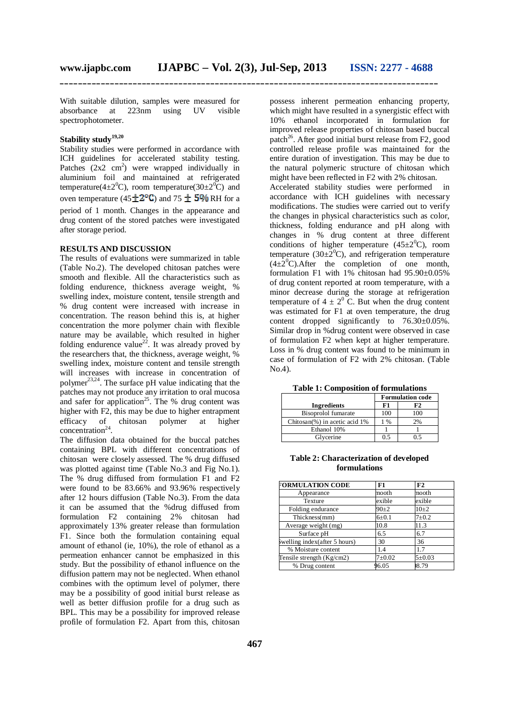With suitable dilution, samples were measured for absorbance at 223nm using UV visible spectrophotometer.

#### **Stability study19,20**

Stability studies were performed in accordance with ICH guidelines for accelerated stability testing. Patches  $(2x2 \text{ cm}^2)$  were wrapped individually in aluminium foil and maintained at refrigerated temperature(4 $\pm 2^{0}$ C), room temperature(30 $\pm 2^{0}$ C) and oven temperature (45 $\pm$ 2<sup>o</sup>C) and 75  $\pm$  5% RH for a period of 1 month. Changes in the appearance and drug content of the stored patches were investigated after storage period.

#### **RESULTS AND DISCUSSION**

The results of evaluations were summarized in table (Table No.2). The developed chitosan patches were smooth and flexible. All the characteristics such as folding endurence, thickness average weight, % swelling index, moisture content, tensile strength and % drug content were increased with increase in concentration. The reason behind this is, at higher concentration the more polymer chain with flexible nature may be available, which resulted in higher folding endurence value<sup>22</sup>. It was already proved by the researchers that, the thickness, average weight, % swelling index, moisture content and tensile strength will increases with increase in concentration of polymer<sup>23,24</sup>. The surface pH value indicating that the patches may not produce any irritation to oral mucosa and safer for application<sup>25</sup>. The % drug content was higher with F2, this may be due to higher entrapment efficacy of chitosan polymer at higher  $concentration<sup>24</sup>$ .

The diffusion data obtained for the buccal patches containing BPL with different concentrations of chitosan were closely assessed. The % drug diffused was plotted against time (Table No.3 and Fig No.1). The % drug diffused from formulation F1 and F2 were found to be 83.66% and 93.96% respectively after 12 hours diffusion (Table No.3). From the data it can be assumed that the %drug diffused from formulation F2 containing 2% chitosan had approximately 13% greater release than formulation F1. Since both the formulation containing equal amount of ethanol (ie, 10%), the role of ethanol as a permeation enhancer cannot be emphasized in this study. But the possibility of ethanol influence on the diffusion pattern may not be neglected. When ethanol combines with the optimum level of polymer, there may be a possibility of good initial burst release as well as better diffusion profile for a drug such as BPL. This may be a possibility for improved release profile of formulation F2. Apart from this, chitosan

possess inherent permeation enhancing property, which might have resulted in a synergistic effect with 10% ethanol incorporated in formulation for improved release properties of chitosan based buccal patch<sup>26</sup>. After good initial burst release from F2, good controlled release profile was maintained for the entire duration of investigation. This may be due to the natural polymeric structure of chitosan which might have been reflected in F2 with 2% chitosan. Accelerated stability studies were performed in accordance with ICH guidelines with necessary modifications. The studies were carried out to verify the changes in physical characteristics such as color, thickness, folding endurance and pH along with changes in % drug content at three different conditions of higher temperature  $(45\pm2\degree C)$ , room temperature (30 $\pm 2^0$ C), and refrigeration temperature  $(4\pm2^0C)$ . After the completion of one month, formulation F1 with 1% chitosan had 95.90±0.05% of drug content reported at room temperature, with a minor decrease during the storage at refrigeration temperature of  $4 \pm 2^{0}$  C. But when the drug content was estimated for F1 at oven temperature, the drug content dropped significantly to 76.30±0.05%. Similar drop in %drug content were observed in case of formulation F2 when kept at higher temperature. Loss in % drug content was found to be minimum in case of formulation of F2 with 2% chitosan. (Table No.4).

|  |  |  |  | <b>Table 1: Composition of formulations</b> |
|--|--|--|--|---------------------------------------------|
|--|--|--|--|---------------------------------------------|

|                                   | <b>Formulation code</b> |     |
|-----------------------------------|-------------------------|-----|
| <b>Ingredients</b>                | F1                      | F2  |
| Bisoprolol fumarate               | 100                     | 100 |
| Chitosan $(\%)$ in acetic acid 1% | $1\%$                   | 2%  |
| Ethanol 10%                       |                         |     |
| Glycerine                         | 0.5                     | ว ร |

#### **Table 2: Characterization of developed formulations**

| <b>FORMULATION CODE</b>       | F1         | F <sub>2</sub> |  |
|-------------------------------|------------|----------------|--|
| Appearance                    | mooth      | mooth          |  |
| <b>Texture</b>                | exible     | exible         |  |
| Folding endurance             | $90+2$     | $10\pm 2$      |  |
| Thickness(mm)                 | $6 + 0.1$  | $7 + 0.2$      |  |
| Average weight (mg)           | 10.8       | 11.3           |  |
| Surface pH                    | 6.5        | 6.7            |  |
| swelling index(after 5 hours) | 30         | 36             |  |
| % Moisture content            | 1.4        | 1.7            |  |
| Tensile strength (Kg/cm2)     | $7 + 0.02$ | $5 \pm 0.03$   |  |
| % Drug content                | 6.05       | 08.79          |  |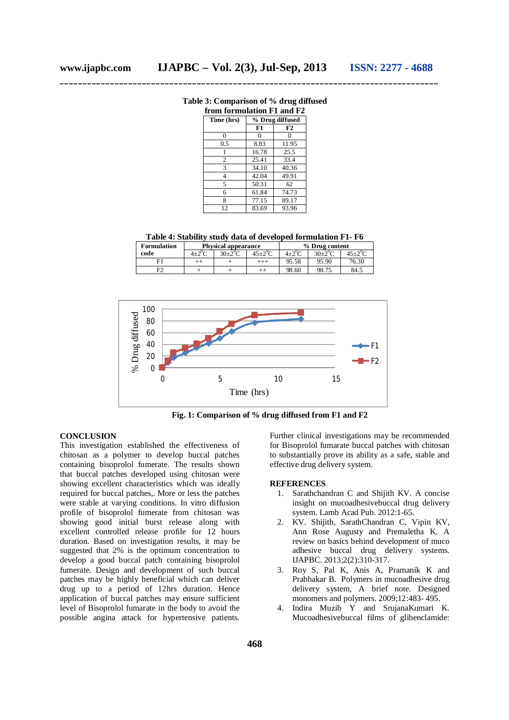|  |  | Table 3: Comparison of % drug diffused |
|--|--|----------------------------------------|
|  |  |                                        |

| from formulation F1 and F2 |                 |       |  |  |
|----------------------------|-----------------|-------|--|--|
| Time (hrs)                 | % Drug diffused |       |  |  |
|                            | F1              | F2    |  |  |
| $\theta$                   | 0               | O     |  |  |
| 0.5                        | 8.83            | 11.95 |  |  |
|                            | 16.78           | 25.5  |  |  |
| $\overline{c}$             | 25.41           | 33.4  |  |  |
| 3                          | 34.10           | 40.36 |  |  |
| $\overline{4}$             | 42.04           | 49.91 |  |  |
| 5                          | 50.31           | 62    |  |  |
| 6                          | 61.84           | 74.73 |  |  |
| 8                          | 77.15           | 89.17 |  |  |
| 12                         | 83.69           | 93.96 |  |  |

**Table 4: Stability study data of developed formulation F1- F6**

| <b>Formulation</b> | <b>Physical appearance</b> |        |  |                  | % Drug content |            |
|--------------------|----------------------------|--------|--|------------------|----------------|------------|
| code               |                            | 30+2°C |  | $4 + 2^{\circ}C$ | $30+2^0C$      | $45+2^{0}$ |
|                    |                            |        |  | 95.58            | 95.90          | 76.30      |
|                    |                            |        |  | 98.60            | 98.75          | 84.5       |



**Fig. 1: Comparison of % drug diffused from F1 and F2**

#### **CONCLUSION**

This investigation established the effectiveness of chitosan as a polymer to develop buccal patches containing bisoprolol fumerate. The results shown that buccal patches developed using chitosan were showing excellent characteristics which was ideally required for buccal patches,. More or less the patches were stable at varying conditions. In vitro diffusion profile of bisoprolol fumerate from chitosan was showing good initial burst release along with excellent controlled release profile for 12 hours duration. Based on investigation results, it may be suggested that 2% is the optimum concentration to develop a good buccal patch containing bisoprolol fumerate. Design and development of such buccal patches may be highly beneficial which can deliver drug up to a period of 12hrs duration. Hence application of buccal patches may ensure sufficient level of Bisoprolol fumarate in the body to avoid the possible angina attack for hypertensive patients.

Further clinical investigations may be recommended for Bisoprolol fumarate buccal patches with chitosan to substantially prove its ability as a safe, stable and effective drug delivery system.

#### **REFERENCES**

- 1. Sarathchandran C and Shijith KV. A concise insight on mucoadhesivebuccal drug delivery system. Lamb Acad Pub. 2012:1-65.
- 2. KV. Shijith, SarathChandran C, Vipin KV, Ann Rose Augusty and Premaletha K. A review on basics behind development of muco adhesive buccal drug delivery systems. IJAPBC. 2013;2(2):310-317.
- 3. Roy S, Pal K, Anis A, Pramanik K and Prabhakar B. Polymers in mucoadhesive drug delivery system, A brief note. Designed monomers and polymers. 2009;12:483- 495.
- 4. Indira Muzib Y and SrujanaKumari K. Mucoadhesivebuccal films of glibenclamide: